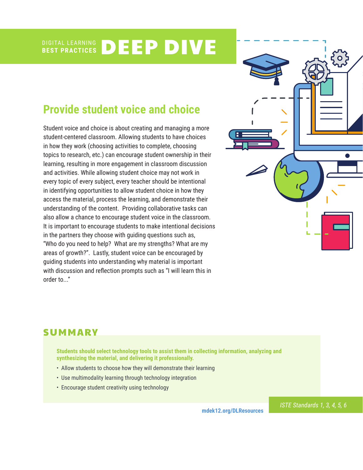#### DIGITAL LEARNING **BEST PRACTICES** DEEP DIVE

# **Provide student voice and choice**

Student voice and choice is about creating and managing a more student-centered classroom. Allowing students to have choices in how they work (choosing activities to complete, choosing topics to research, etc.) can encourage student ownership in their learning, resulting in more engagement in classroom discussion and activities. While allowing student choice may not work in every topic of every subject, every teacher should be intentional in identifying opportunities to allow student choice in how they access the material, process the learning, and demonstrate their understanding of the content. Providing collaborative tasks can also allow a chance to encourage student voice in the classroom. It is important to encourage students to make intentional decisions in the partners they choose with guiding questions such as, "Who do you need to help? What are my strengths? What are my areas of growth?". Lastly, student voice can be encouraged by guiding students into understanding why material is important with discussion and reflection prompts such as "I will learn this in order to..."



# **SUMMARY**

**Students should select technology tools to assist them in collecting information, analyzing and synthesizing the material, and delivering it professionally.** 

- Allow students to choose how they will demonstrate their learning
- Use multimodality learning through technology integration
- Encourage student creativity using technology

**[mdek12.org/DLResources](http://www.mdek12.org/DLResources)**

*ISTE Standards 1, 3, 4, 5, 6*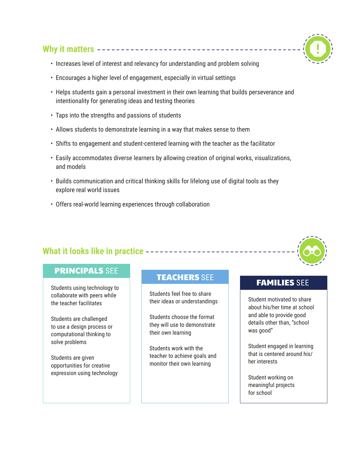## **Why it matters**



- Increases level of interest and relevancy for understanding and problem solving
- Encourages a higher level of engagement, especially in virtual settings
- Helps students gain a personal investment in their own learning that builds perseverance and intentionality for generating ideas and testing theories
- Taps into the strengths and passions of students
- Allows students to demonstrate learning in a way that makes sense to them
- Shifts to engagement and student-centered learning with the teacher as the facilitator
- Easily accommodates diverse learners by allowing creation of original works, visualizations, and models
- Builds communication and critical thinking skills for lifelong use of digital tools as they explore real world issues
- Offers real-world learning experiences through collaboration

# **What it looks like in practice**

## PRINCIPALS SEE

Students using technology to collaborate with peers while the teacher facilitates

Students are challenged to use a design process or computational thinking to solve problems

Students are given opportunities for creative expression using technology

# TEACHERS SEE TEAMILIES SEE

Students feel free to share their ideas or understandings

Students choose the format they will use to demonstrate their own learning

Students work with the teacher to achieve goals and monitor their own learning

Student motivated to share about his/her time at school and able to provide good details other than, "school was good"

Student engaged in learning that is centered around his/ her interests

Student working on meaningful projects for school